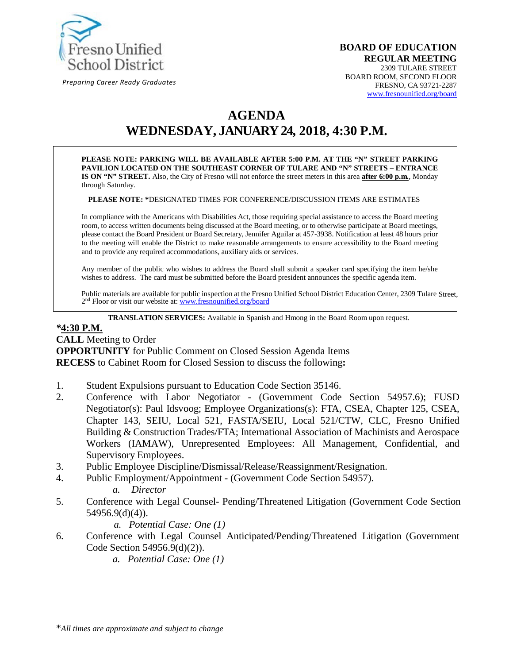

*Preparing Career Ready Graduates*

#### **BOARD OF EDUCATION REGULAR MEETING** 2309 TULARE STREET BOARD ROOM, SECOND FLOOR FRESNO, CA 93721-2287 www.fresnounified.org/board

# **AGENDA**

**WEDNESDAY, JANUARY 24, 2018, 4:30 P.M.**

**PLEASE NOTE: PARKING WILL BE AVAILABLE AFTER 5:00 P.M. AT THE "N" STREET PARKING PAVILION LOCATED ON THE SOUTHEAST CORNER OF TULARE AND "N" STREETS – ENTRANCE IS ON "N" STREET.** Also, the City of Fresno will not enforce the street meters in this area **after 6:00 p.m.**, Monday through Saturday.

**PLEASE NOTE: \***DESIGNATED TIMES FOR CONFERENCE/DISCUSSION ITEMS ARE ESTIMATES

In compliance with the Americans with Disabilities Act, those requiring special assistance to access the Board meeting room, to access written documents being discussed at the Board meeting, or to otherwise participate at Board meetings, please contact the Board President or Board Secretary, Jennifer Aguilar at 457-3938. Notification at least 48 hours prior to the meeting will enable the District to make reasonable arrangements to ensure accessibility to the Board meeting and to provide any required accommodations, auxiliary aids or services.

Any member of the public who wishes to address the Board shall submit a speaker card specifying the item he/she wishes to address. The card must be submitted before the Board president announces the specific agenda item.

Public materials are available for public inspection at the Fresno Unified School District Education Center, 2309 Tulare Street, 2<sup>nd</sup> Floor or visit our website at: www.fresnounified.org/board

**TRANSLATION SERVICES:** Available in Spanish and Hmong in the Board Room upon request.

#### *\****4:30 P.M.**

**CALL** Meeting to Order **OPPORTUNITY** for Public Comment on Closed Session Agenda Items **RECESS** to Cabinet Room for Closed Session to discuss the following**:**

- 1. Student Expulsions pursuant to Education Code Section 35146.
- 2. Conference with Labor Negotiator (Government Code Section 54957.6); FUSD Negotiator(s): Paul Idsvoog; Employee Organizations(s): FTA, CSEA, Chapter 125, CSEA, Chapter 143, SEIU, Local 521, FASTA/SEIU, Local 521/CTW, CLC, Fresno Unified Building & Construction Trades/FTA; International Association of Machinists and Aerospace Workers (IAMAW), Unrepresented Employees: All Management, Confidential, and Supervisory Employees.
- 3. Public Employee Discipline/Dismissal/Release/Reassignment/Resignation.
- 4. Public Employment/Appointment (Government Code Section 54957).
	- *a. Director*
- 5. Conference with Legal Counsel- Pending/Threatened Litigation (Government Code Section 54956.9(d)(4)).

*a. Potential Case: One (1)*

- 6. Conference with Legal Counsel Anticipated/Pending/Threatened Litigation (Government Code Section 54956.9(d)(2)).
	- *a. Potential Case: One (1)*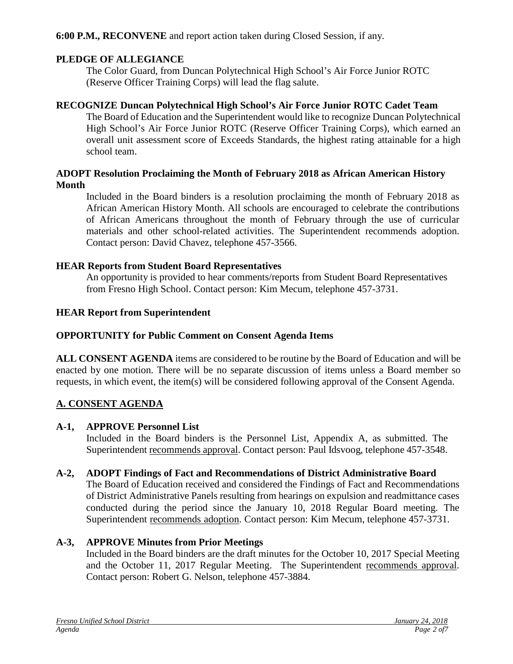**6:00 P.M., RECONVENE** and report action taken during Closed Session, if any.

### **PLEDGE OF ALLEGIANCE**

The Color Guard, from Duncan Polytechnical High School's Air Force Junior ROTC (Reserve Officer Training Corps) will lead the flag salute.

#### **RECOGNIZE Duncan Polytechnical High School's Air Force Junior ROTC Cadet Team**

The Board of Education and the Superintendent would like to recognize Duncan Polytechnical High School's Air Force Junior ROTC (Reserve Officer Training Corps), which earned an overall unit assessment score of Exceeds Standards, the highest rating attainable for a high school team.

#### **ADOPT Resolution Proclaiming the Month of February 2018 as African American History Month**

Included in the Board binders is a resolution proclaiming the month of February 2018 as African American History Month. All schools are encouraged to celebrate the contributions of African Americans throughout the month of February through the use of curricular materials and other school-related activities. The Superintendent recommends adoption. Contact person: David Chavez, telephone 457-3566.

### **HEAR Reports from Student Board Representatives**

An opportunity is provided to hear comments/reports from Student Board Representatives from Fresno High School. Contact person: Kim Mecum, telephone 457-3731.

### **HEAR Report from Superintendent**

# **OPPORTUNITY for Public Comment on Consent Agenda Items**

**ALL CONSENT AGENDA** items are considered to be routine by the Board of Education and will be enacted by one motion. There will be no separate discussion of items unless a Board member so requests, in which event, the item(s) will be considered following approval of the Consent Agenda.

# **A. CONSENT AGENDA**

#### **A-1, APPROVE Personnel List**

Included in the Board binders is the Personnel List, Appendix A, as submitted. The Superintendent recommends approval. Contact person: Paul Idsvoog, telephone 457-3548.

#### **A-2, ADOPT Findings of Fact and Recommendations of District Administrative Board**

The Board of Education received and considered the Findings of Fact and Recommendations of District Administrative Panels resulting from hearings on expulsion and readmittance cases conducted during the period since the January 10, 2018 Regular Board meeting. The Superintendent recommends adoption. Contact person: Kim Mecum, telephone 457-3731.

# **A-3, APPROVE Minutes from Prior Meetings**

Included in the Board binders are the draft minutes for the October 10, 2017 Special Meeting and the October 11, 2017 Regular Meeting. The Superintendent recommends approval. Contact person: Robert G. Nelson, telephone 457-3884.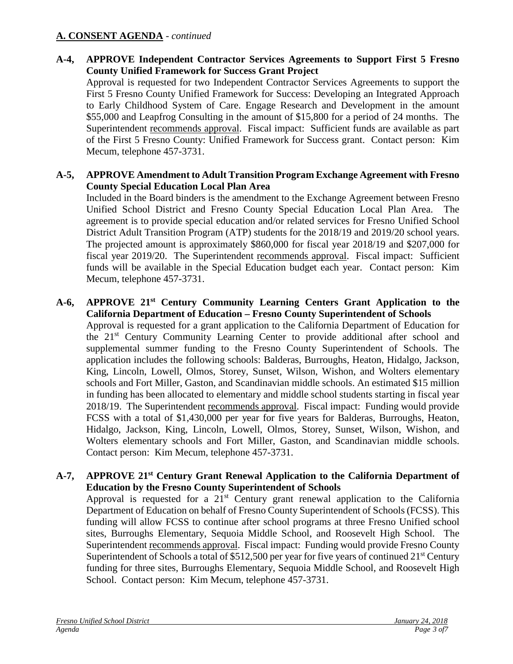# **A. CONSENT AGENDA** - *continued*

# **A-4, APPROVE Independent Contractor Services Agreements to Support First 5 Fresno County Unified Framework for Success Grant Project**

Approval is requested for two Independent Contractor Services Agreements to support the First 5 Fresno County Unified Framework for Success: Developing an Integrated Approach to Early Childhood System of Care. Engage Research and Development in the amount \$55,000 and Leapfrog Consulting in the amount of \$15,800 for a period of 24 months. The Superintendent recommends approval. Fiscal impact: Sufficient funds are available as part of the First 5 Fresno County: Unified Framework for Success grant. Contact person: Kim Mecum, telephone 457-3731.

#### **A-5, APPROVE Amendment to Adult Transition Program Exchange Agreement with Fresno County Special Education Local Plan Area**

Included in the Board binders is the amendment to the Exchange Agreement between Fresno Unified School District and Fresno County Special Education Local Plan Area. The agreement is to provide special education and/or related services for Fresno Unified School District Adult Transition Program (ATP) students for the 2018/19 and 2019/20 school years. The projected amount is approximately \$860,000 for fiscal year 2018/19 and \$207,000 for fiscal year 2019/20. The Superintendent recommends approval. Fiscal impact: Sufficient funds will be available in the Special Education budget each year. Contact person: Kim Mecum, telephone 457-3731.

#### **A-6, APPROVE 21st Century Community Learning Centers Grant Application to the California Department of Education – Fresno County Superintendent of Schools**

Approval is requested for a grant application to the California Department of Education for the 21st Century Community Learning Center to provide additional after school and supplemental summer funding to the Fresno County Superintendent of Schools. The application includes the following schools: Balderas, Burroughs, Heaton, Hidalgo, Jackson, King, Lincoln, Lowell, Olmos, Storey, Sunset, Wilson, Wishon, and Wolters elementary schools and Fort Miller, Gaston, and Scandinavian middle schools. An estimated \$15 million in funding has been allocated to elementary and middle school students starting in fiscal year 2018/19. The Superintendent recommends approval. Fiscal impact: Funding would provide FCSS with a total of \$1,430,000 per year for five years for Balderas, Burroughs, Heaton, Hidalgo, Jackson, King, Lincoln, Lowell, Olmos, Storey, Sunset, Wilson, Wishon, and Wolters elementary schools and Fort Miller, Gaston, and Scandinavian middle schools. Contact person: Kim Mecum, telephone 457-3731.

#### **A-7, APPROVE 21st Century Grant Renewal Application to the California Department of Education by the Fresno County Superintendent of Schools**

Approval is requested for a  $21<sup>st</sup>$  Century grant renewal application to the California Department of Education on behalf of Fresno County Superintendent of Schools (FCSS). This funding will allow FCSS to continue after school programs at three Fresno Unified school sites, Burroughs Elementary, Sequoia Middle School, and Roosevelt High School. The Superintendent recommends approval. Fiscal impact: Funding would provide Fresno County Superintendent of Schools a total of  $$512,500$  per year for five years of continued  $21<sup>st</sup>$  Century funding for three sites, Burroughs Elementary, Sequoia Middle School, and Roosevelt High School. Contact person: Kim Mecum, telephone 457-3731.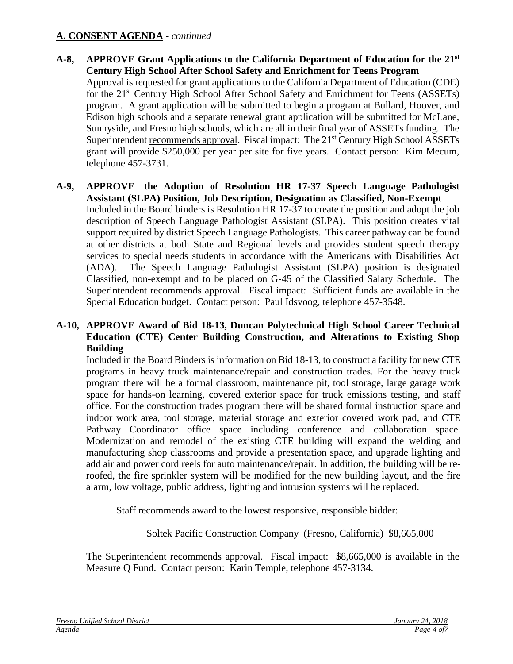# **A. CONSENT AGENDA** - *continued*

- **A-8, APPROVE Grant Applications to the California Department of Education for the 21st Century High School After School Safety and Enrichment for Teens Program** Approval is requested for grant applications to the California Department of Education (CDE) for the 21<sup>st</sup> Century High School After School Safety and Enrichment for Teens (ASSETs) program. A grant application will be submitted to begin a program at Bullard, Hoover, and Edison high schools and a separate renewal grant application will be submitted for McLane, Sunnyside, and Fresno high schools, which are all in their final year of ASSETs funding. The Superintendent recommends approval. Fiscal impact: The 21<sup>st</sup> Century High School ASSETs grant will provide \$250,000 per year per site for five years. Contact person: Kim Mecum, telephone 457-3731.
- **A-9, APPROVE the Adoption of Resolution HR 17-37 Speech Language Pathologist Assistant (SLPA) Position, Job Description, Designation as Classified, Non-Exempt**  Included in the Board binders is Resolution HR 17-37 to create the position and adopt the job description of Speech Language Pathologist Assistant (SLPA). This position creates vital support required by district Speech Language Pathologists. This career pathway can be found at other districts at both State and Regional levels and provides student speech therapy services to special needs students in accordance with the Americans with Disabilities Act (ADA). The Speech Language Pathologist Assistant (SLPA) position is designated Classified, non-exempt and to be placed on G-45 of the Classified Salary Schedule. The Superintendent recommends approval. Fiscal impact: Sufficient funds are available in the Special Education budget. Contact person: Paul Idsvoog, telephone 457-3548.

#### **A-10, APPROVE Award of Bid 18-13, Duncan Polytechnical High School Career Technical Education (CTE) Center Building Construction, and Alterations to Existing Shop Building**

Included in the Board Binders is information on Bid 18-13, to construct a facility for new CTE programs in heavy truck maintenance/repair and construction trades. For the heavy truck program there will be a formal classroom, maintenance pit, tool storage, large garage work space for hands-on learning, covered exterior space for truck emissions testing, and staff office. For the construction trades program there will be shared formal instruction space and indoor work area, tool storage, material storage and exterior covered work pad, and CTE Pathway Coordinator office space including conference and collaboration space. Modernization and remodel of the existing CTE building will expand the welding and manufacturing shop classrooms and provide a presentation space, and upgrade lighting and add air and power cord reels for auto maintenance/repair. In addition, the building will be reroofed, the fire sprinkler system will be modified for the new building layout, and the fire alarm, low voltage, public address, lighting and intrusion systems will be replaced.

Staff recommends award to the lowest responsive, responsible bidder:

Soltek Pacific Construction Company (Fresno, California) \$8,665,000

The Superintendent recommends approval. Fiscal impact: \$8,665,000 is available in the Measure Q Fund. Contact person: Karin Temple, telephone 457-3134.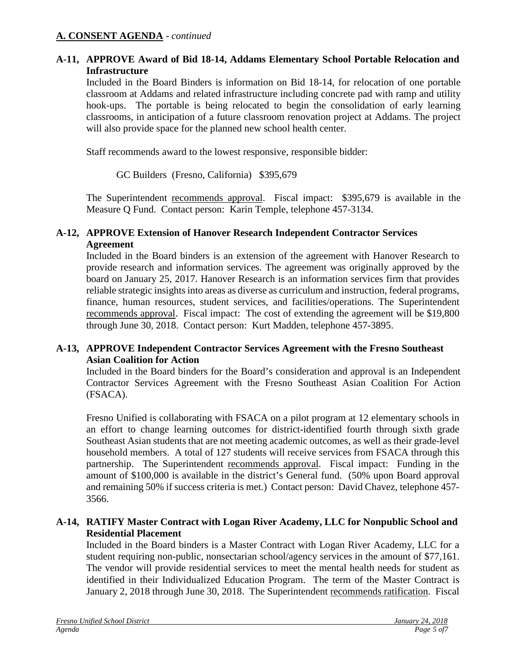# **A-11, APPROVE Award of Bid 18-14, Addams Elementary School Portable Relocation and Infrastructure**

Included in the Board Binders is information on Bid 18-14, for relocation of one portable classroom at Addams and related infrastructure including concrete pad with ramp and utility hook-ups. The portable is being relocated to begin the consolidation of early learning classrooms, in anticipation of a future classroom renovation project at Addams. The project will also provide space for the planned new school health center.

Staff recommends award to the lowest responsive, responsible bidder:

GC Builders (Fresno, California) \$395,679

The Superintendent recommends approval. Fiscal impact: \$395,679 is available in the Measure Q Fund. Contact person: Karin Temple, telephone 457-3134.

### **A-12, APPROVE Extension of Hanover Research Independent Contractor Services Agreement**

Included in the Board binders is an extension of the agreement with Hanover Research to provide research and information services. The agreement was originally approved by the board on January 25, 2017. Hanover Research is an information services firm that provides reliable strategic insights into areas as diverse as curriculum and instruction, federal programs, finance, human resources, student services, and facilities/operations. The Superintendent recommends approval. Fiscal impact: The cost of extending the agreement will be \$19,800 through June 30, 2018. Contact person: Kurt Madden, telephone 457-3895.

#### **A-13, APPROVE Independent Contractor Services Agreement with the Fresno Southeast Asian Coalition for Action**

Included in the Board binders for the Board's consideration and approval is an Independent Contractor Services Agreement with the Fresno Southeast Asian Coalition For Action (FSACA).

Fresno Unified is collaborating with FSACA on a pilot program at 12 elementary schools in an effort to change learning outcomes for district-identified fourth through sixth grade Southeast Asian students that are not meeting academic outcomes, as well as their grade-level household members. A total of 127 students will receive services from FSACA through this partnership. The Superintendent recommends approval. Fiscal impact: Funding in the amount of \$100,000 is available in the district's General fund. (50% upon Board approval and remaining 50% if success criteria is met.) Contact person: David Chavez, telephone 457- 3566.

# **A-14, RATIFY Master Contract with Logan River Academy, LLC for Nonpublic School and Residential Placement**

Included in the Board binders is a Master Contract with Logan River Academy, LLC for a student requiring non-public, nonsectarian school/agency services in the amount of \$77,161. The vendor will provide residential services to meet the mental health needs for student as identified in their Individualized Education Program. The term of the Master Contract is January 2, 2018 through June 30, 2018. The Superintendent recommends ratification. Fiscal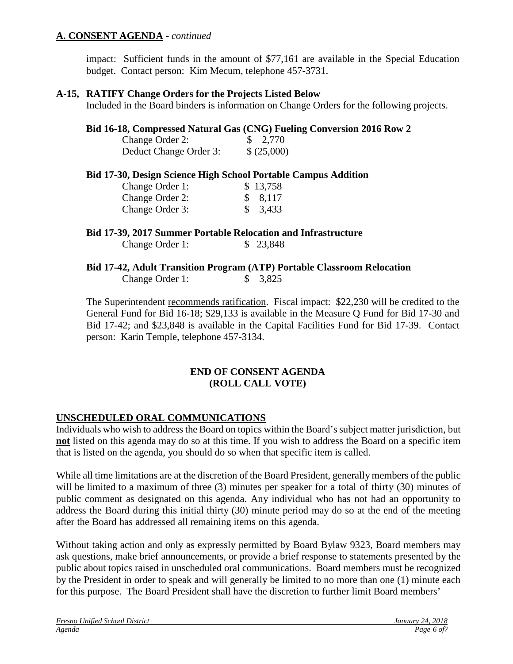# **A. CONSENT AGENDA** - *continued*

impact: Sufficient funds in the amount of \$77,161 are available in the Special Education budget. Contact person: Kim Mecum, telephone 457-3731.

#### **A-15, RATIFY Change Orders for the Projects Listed Below**

Included in the Board binders is information on Change Orders for the following projects.

#### **Bid 16-18, Compressed Natural Gas (CNG) Fueling Conversion 2016 Row 2**

| Change Order 2:        | $\frac{$}{2,770}$ |
|------------------------|-------------------|
| Deduct Change Order 3: | \$ (25,000)       |

#### **Bid 17-30, Design Science High School Portable Campus Addition**

| Change Order 1: | \$13,758 |
|-----------------|----------|
| Change Order 2: | \$ 8,117 |
| Change Order 3: | \$3,433  |

#### **Bid 17-39, 2017 Summer Portable Relocation and Infrastructure**

Change Order 1: \$ 23,848

# **Bid 17-42, Adult Transition Program (ATP) Portable Classroom Relocation**  Change Order 1: \$ 3,825

The Superintendent recommends ratification. Fiscal impact: \$22,230 will be credited to the General Fund for Bid 16-18; \$29,133 is available in the Measure Q Fund for Bid 17-30 and Bid 17-42; and \$23,848 is available in the Capital Facilities Fund for Bid 17-39. Contact person: Karin Temple, telephone 457-3134.

# **END OF CONSENT AGENDA (ROLL CALL VOTE)**

# **UNSCHEDULED ORAL COMMUNICATIONS**

Individuals who wish to address the Board on topics within the Board's subject matter jurisdiction, but **not** listed on this agenda may do so at this time. If you wish to address the Board on a specific item that is listed on the agenda, you should do so when that specific item is called.

While all time limitations are at the discretion of the Board President, generally members of the public will be limited to a maximum of three (3) minutes per speaker for a total of thirty (30) minutes of public comment as designated on this agenda. Any individual who has not had an opportunity to address the Board during this initial thirty (30) minute period may do so at the end of the meeting after the Board has addressed all remaining items on this agenda.

Without taking action and only as expressly permitted by Board Bylaw 9323, Board members may ask questions, make brief announcements, or provide a brief response to statements presented by the public about topics raised in unscheduled oral communications. Board members must be recognized by the President in order to speak and will generally be limited to no more than one (1) minute each for this purpose. The Board President shall have the discretion to further limit Board members'